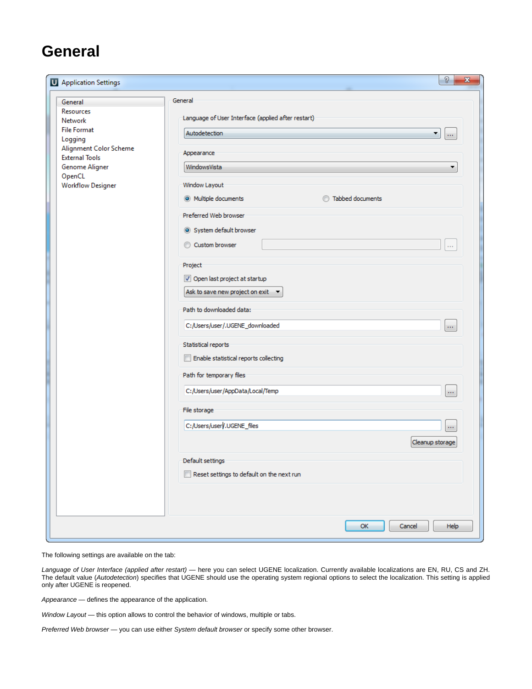## **General**

| Application Settings                                                                                                                                                               | P<br>$\mathbf{x}$                                                            |
|------------------------------------------------------------------------------------------------------------------------------------------------------------------------------------|------------------------------------------------------------------------------|
| General<br>Resources<br>Network<br><b>File Format</b><br>Logging<br>Alignment Color Scheme<br><b>External Tools</b><br><b>Genome Aligner</b><br>OpenCL<br><b>Workflow Designer</b> | General<br>Language of User Interface (applied after restart)                |
|                                                                                                                                                                                    | Autodetection<br>▼.<br>$\cdots$<br>Appearance                                |
|                                                                                                                                                                                    | WindowsVista<br>▼<br>Window Layout                                           |
|                                                                                                                                                                                    | <b>Tabbed documents</b><br>@ Multiple documents                              |
|                                                                                                                                                                                    | Preferred Web browser<br>System default browser<br>Custom browser<br>o i     |
|                                                                                                                                                                                    | Project<br>Open last project at startup<br>Ask to save new project on exit - |
|                                                                                                                                                                                    | Path to downloaded data:<br>C:/Users/user/.UGENE_downloaded<br>$\cdots$      |
|                                                                                                                                                                                    | Statistical reports<br>Enable statistical reports collecting                 |
|                                                                                                                                                                                    | Path for temporary files<br>C:/Users/user/AppData/Local/Temp<br>$\cdots$     |
|                                                                                                                                                                                    | File storage                                                                 |
|                                                                                                                                                                                    | C:/Users/user/.UGENE_files<br>ш<br>Cleanup storage                           |
|                                                                                                                                                                                    | Default settings<br>Reset settings to default on the next run                |
|                                                                                                                                                                                    | OK<br>Cancel<br>Help                                                         |

The following settings are available on the tab:

Language of User Interface (applied after restart) — here you can select UGENE localization. Currently available localizations are EN, RU, CS and ZH. The default value (Autodetection) specifies that UGENE should use the operating system regional options to select the localization. This setting is applied only after UGENE is reopened.

Appearance — defines the appearance of the application.

Window Layout - this option allows to control the behavior of windows, multiple or tabs.

Preferred Web browser - you can use either System default browser or specify some other browser.